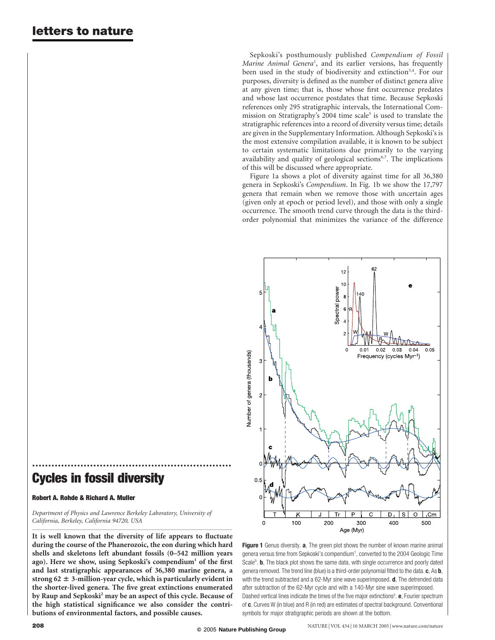Sepkoski's posthumously published Compendium of Fossil Marine Animal Genera<sup>1</sup>, and its earlier versions, has frequently been used in the study of biodiversity and extinction<sup>3,4</sup>. For our purposes, diversity is defined as the number of distinct genera alive at any given time; that is, those whose first occurrence predates and whose last occurrence postdates that time. Because Sepkoski references only 295 stratigraphic intervals, the International Commission on Stratigraphy's 2004 time scale<sup>5</sup> is used to translate the stratigraphic references into a record of diversity versus time; details are given in the Supplementary Information. Although Sepkoski's is the most extensive compilation available, it is known to be subject to certain systematic limitations due primarily to the varying availability and quality of geological sections<sup>6,7</sup>. The implications of this will be discussed where appropriate.

Figure 1a shows a plot of diversity against time for all 36,380 genera in Sepkoski's Compendium. In Fig. 1b we show the 17,797 genera that remain when we remove those with uncertain ages (given only at epoch or period level), and those with only a single occurrence. The smooth trend curve through the data is the thirdorder polynomial that minimizes the variance of the difference



## Cycles in fossil diversity

## Robert A. Rohde & Richard A. Muller

Department of Physics and Lawrence Berkeley Laboratory, University of California, Berkeley, California 94720, USA

..............................................................

It is well known that the diversity of life appears to fluctuate during the course of the Phanerozoic, the eon during which hard shells and skeletons left abundant fossils (0–542 million years ago). Here we show, using Sepkoski's compendium<sup>1</sup> of the first and last stratigraphic appearances of 36,380 marine genera, a strong 62  $\pm$  3-million-year cycle, which is particularly evident in the shorter-lived genera. The five great extinctions enumerated by Raup and Sepkoski<sup>2</sup> may be an aspect of this cycle. Because of the high statistical significance we also consider the contributions of environmental factors, and possible causes.

.............................................................................................................................................................................

Figure 1 Genus diversity. a, The green plot shows the number of known marine animal genera versus time from Sepkoski's compendium<sup>1</sup>, converted to the 2004 Geologic Time Scale<sup>5</sup>. **b**, The black plot shows the same data, with single occurrence and poorly dated genera removed. The trend line (blue) is a third-order polynomial fitted to the data.  $c$ , As  $b$ , with the trend subtracted and a 62-Myr sine wave superimposed. **d**, The detrended data after subtraction of the 62-Myr cycle and with a 140-Myr sine wave superimposed. Dashed vertical lines indicate the times of the five major extinctions<sup>2</sup>. **e**, Fourier spectrum of c. Curves W (in blue) and R (in red) are estimates of spectral background. Conventional symbols for major stratigraphic periods are shown at the bottom.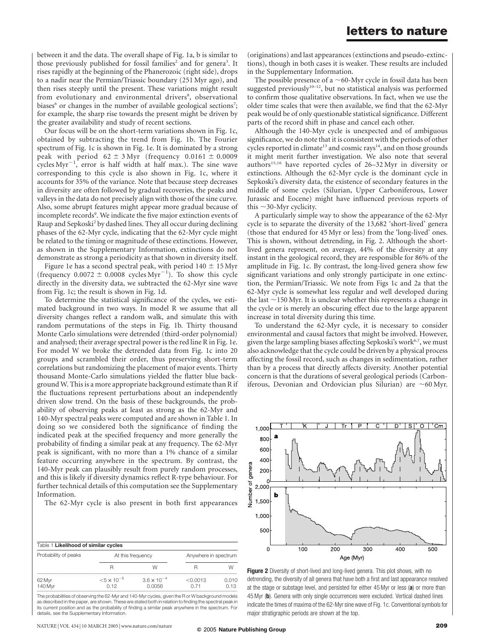between it and the data. The overall shape of Fig. 1a, b is similar to those previously published for fossil families<sup>2</sup> and for genera<sup>3</sup>. It rises rapidly at the beginning of the Phanerozoic (right side), drops to a nadir near the Permian/Triassic boundary (251 Myr ago), and then rises steeply until the present. These variations might result from evolutionary and environmental drivers<sup>8</sup>, observational biases<sup>6</sup> or changes in the number of available geological sections<sup>7</sup>; for example, the sharp rise towards the present might be driven by the greater availability and study of recent sections.

Our focus will be on the short-term variations shown in Fig. 1c, obtained by subtracting the trend from Fig. 1b. The Fourier spectrum of Fig. 1c is shown in Fig. 1e. It is dominated by a strong peak with period  $62 \pm 3$  Myr (frequency 0.0161  $\pm$  0.0009 cycles Myr<sup>-1</sup>, error is half width at half max.). The sine wave corresponding to this cycle is also shown in Fig. 1c, where it accounts for 35% of the variance. Note that because steep decreases in diversity are often followed by gradual recoveries, the peaks and valleys in the data do not precisely align with those of the sine curve. Also, some abrupt features might appear more gradual because of incomplete records<sup>9</sup>. We indicate the five major extinction events of Raup and Sepkoski<sup>2</sup> by dashed lines. They all occur during declining phases of the 62-Myr cycle, indicating that the 62-Myr cycle might be related to the timing or magnitude of these extinctions. However, as shown in the Supplementary Information, extinctions do not demonstrate as strong a periodicity as that shown in diversity itself.

Figure 1e has a second spectral peak, with period  $140 \pm 15$  Myr (frequency  $0.0072 \pm 0.0008$  cycles Myr<sup>-1</sup>). To show this cycle directly in the diversity data, we subtracted the 62-Myr sine wave from Fig. 1c; the result is shown in Fig. 1d.

To determine the statistical significance of the cycles, we estimated background in two ways. In model R we assume that all diversity changes reflect a random walk, and simulate this with random permutations of the steps in Fig. 1b. Thirty thousand Monte Carlo simulations were detrended (third-order polynomial) and analysed; their average spectral power is the red line R in Fig. 1e. For model W we broke the detrended data from Fig. 1c into 20 groups and scrambled their order, thus preserving short-term correlations but randomizing the placement of major events. Thirty thousand Monte-Carlo simulations yielded the flatter blue background W. This is a more appropriate background estimate than R if the fluctuations represent perturbations about an independently driven slow trend. On the basis of these backgrounds, the probability of observing peaks at least as strong as the 62-Myr and 140-Myr spectral peaks were computed and are shown in Table 1. In doing so we considered both the significance of finding the indicated peak at the specified frequency and more generally the probability of finding a similar peak at any frequency. The 62-Myr peak is significant, with no more than a 1% chance of a similar feature occurring anywhere in the spectrum. By contrast, the 140-Myr peak can plausibly result from purely random processes, and this is likely if diversity dynamics reflect R-type behaviour. For further technical details of this computation see the Supplementary Information.

The 62-Myr cycle is also present in both first appearances

| Table 1 Likelihood of similar cycles |                              |                                |                      |               |
|--------------------------------------|------------------------------|--------------------------------|----------------------|---------------|
| Probability of peaks                 | At this frequency            |                                | Anywhere in spectrum |               |
|                                      |                              | W                              |                      | W             |
| 62 Myr<br>140 Myr                    | $< 5 \times 10^{-5}$<br>n 12 | $3.6 \times 10^{-4}$<br>0.0056 | < 0.0013             | 0.010<br>0.13 |

The probabilities of observing the 62-Myr and 140-Myr cycles, given the R or W background models as described in the paper, are shown. These are stated both in relation to finding the spectral peak in its current position and as the probability of finding a similar peak anywhere in the spectrum. For details, see the Supplementary Information.

(originations) and last appearances (extinctions and pseudo-extinctions), though in both cases it is weaker. These results are included in the Supplementary Information.

The possible presence of a  $\sim$ 60-Myr cycle in fossil data has been suggested previously<sup>10–12</sup>, but no statistical analysis was performed to confirm those qualitative observations. In fact, when we use the older time scales that were then available, we find that the 62-Myr peak would be of only questionable statistical significance. Different parts of the record shift in phase and cancel each other.

Although the 140-Myr cycle is unexpected and of ambiguous significance, we do note that it is consistent with the periods of other cycles reported in climate<sup>13</sup> and cosmic rays<sup>14</sup>, and on those grounds it might merit further investigation. We also note that several authors<sup>15,16</sup> have reported cycles of 26-32 Myr in diversity or extinctions. Although the 62-Myr cycle is the dominant cycle in Sepkoski's diversity data, the existence of secondary features in the middle of some cycles (Silurian, Upper Carboniferous, Lower Jurassic and Eocene) might have influenced previous reports of this  $\sim$ 30-Myr cyclicity.

A particularly simple way to show the appearance of the 62-Myr cycle is to separate the diversity of the 13,682 'short-lived' genera (those that endured for 45 Myr or less) from the 'long-lived' ones. This is shown, without detrending, in Fig. 2. Although the shortlived genera represent, on average, 44% of the diversity at any instant in the geological record, they are responsible for 86% of the amplitude in Fig. 1c. By contrast, the long-lived genera show few significant variations and only strongly participate in one extinction, the Permian/Triassic. We note from Figs 1c and 2a that the 62-Myr cycle is somewhat less regular and well developed during the last  $\sim$ 150 Myr. It is unclear whether this represents a change in the cycle or is merely an obscuring effect due to the large apparent increase in total diversity during this time.

To understand the 62-Myr cycle, it is necessary to consider environmental and causal factors that might be involved. However, given the large sampling biases affecting Sepkoski's work<sup>6,7</sup>, we must also acknowledge that the cycle could be driven by a physical process affecting the fossil record, such as changes in sedimentation, rather than by a process that directly affects diversity. Another potential concern is that the durations of several geological periods (Carboniferous, Devonian and Ordovician plus Silurian) are  $\sim$  60 Myr.



Figure 2 Diversity of short-lived and long-lived genera. This plot shows, with no detrending, the diversity of all genera that have both a first and last appearance resolved at the stage or substage level, and persisted for either 45 Myr or less (a) or more than 45 Myr (b). Genera with only single occurrences were excluded. Vertical dashed lines indicate the times of maxima of the 62-Myr sine wave of Fig. 1c. Conventional symbols for major stratigraphic periods are shown at the top.